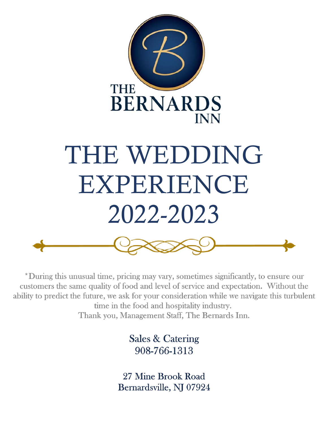

\*During this unusual time, pricing may vary, sometimes significantly, to ensure our customers the same quality of food and level of service and expectation. Without the ability to predict the future, we ask for your consideration while we navigate this turbulent time in the food and hospitality industry. Thank you, Management Staff, The Bernards Inn.

> **Sales & Catering** 908-766-1313

27 Mine Brook Road Bernardsville, NJ 07924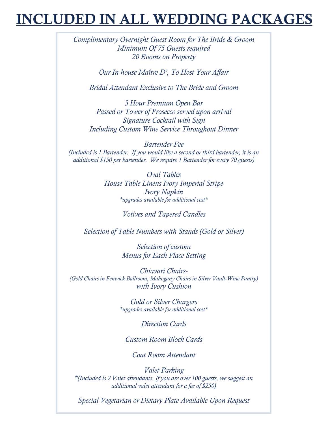## **CLUDED IN ALL WEDDING PACKAGES**

*Complimentary Overnight Guest Room for The Bride & Groom Minimum Of 75 Guests required 20 Rooms on Property*

*Our In-house Maître D', To Host Your Affair*

*Bridal Attendant Exclusive to The Bride and Groom*

*5 Hour Premium Open Bar Passed or Tower of Prosecco served upon arrival Signature Cocktail with Sign Including Custom Wine Service Throughout Dinner*

*Bartender Fee (Included is 1 Bartender. If you would like a second or third bartender, it is an additional \$150 per bartender. We require 1 Bartender for every 70 guests)*

> *Oval Tables House Table Linens Ivory Imperial Stripe Ivory Napkin \*upgrades available for additional cost\**

> > *Votives and Tapered Candles*

*Selection of Table Numbers with Stands (Gold or Silver)*

*Selection of custom Menus for Each Place Setting*

*Chiavari Chairs- (Gold Chairs in Fenwick Ballroom, Mahogany Chairs in Silver Vault-Wine Pantry) with Ivory Cushion*

> *Gold or Silver Chargers \*upgrades available for additional cost\**

> > *Direction Cards*

*Custom Room Block Cards*

*Coat Room Attendant*

*Valet Parking \*(Included is 2 Valet attendants. If you are over 100 guests, we suggest an additional valet attendant for a fee of \$250)*

*Special Vegetarian or Dietary Plate Available Upon Request*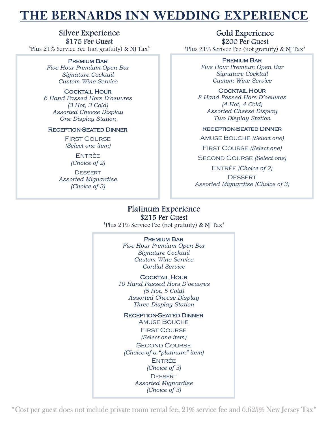## THE BERNARDS INN WEDDING EXPERIENCE

**Silver Experience** \$175 Per Guest *\*Plus 21% Service Fee (not gratuity) & NJ Tax\** 

#### Premium Bar

*Five Hour Premium Open Bar Signature Cocktail Custom Wine Service*

#### **COCKTAIL HOUR**

*6 Hand Passed Hors D'oeuvres (3 Hot, 3 Cold) Assorted Cheese Display One Display Station*

#### Reception-Seated Dinner

First Course *(Select one item)*

> **ENTRÉE** *(Choice of 2)*

**DESSERT** *Assorted Mignardise (Choice of 3)*

Gold Experience \$200 Per Guest *\*Plus 21% Serivee Fee (not gratuity) & NJ Tax\** 

#### Premium Bar

*Five Hour Premium Open Bar Signature Cocktail Custom Wine Service*

#### Cocktail Hour

*8 Hand Passed Hors D'oeuvres (4 Hot, 4 Cold) Assorted Cheese Display Two Display Station*

#### Reception-Seated Dinner

Amuse Bouche *(Select one)* First Course *(Select one)* Second Course *(Select one)* Entrée *(Choice of 2)* **DESSERT** *Assorted Mignardise (Choice of 3)*

#### Platinum Experience \$215 Per Guest

*\*Plus 21% Service Fee (not gratuity) & NJ Tax\** 

#### Premium Bar

*Five Hour Premium Open Bar Signature Cocktail Custom Wine Service Cordial Service*

**COCKTAIL HOUR** 

*10 Hand Passed Hors D'oeuvres (5 Hot, 5 Cold) Assorted Cheese Display Three Display Station*

Reception-Seated Dinner

Amuse Bouche First Course *(Select one item)* **SECOND COURSE** *(Choice of a "platinum" item)* **ENTRÉE** *(Choice of 3)* **DESSERT** *Assorted Mignardise (Choice of 3)*

\*Cost per guest does not include private room rental fee, 21% service fee and 6.625% New Jersey Tax\*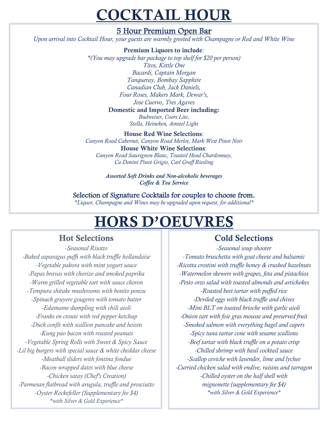# **COCKTAIL HOUR**

### 5 Hour Premium Open Bar

*Upon arrival into Cocktail Hour, your guests are warmly greeted with Champagne or Red and White Wine*

#### Premium Liquors to include*:*

*\*(You may upgrade bar package to top shelf for \$20 per person) Titos, Kettle One Bacardi, Captain Morgan Tanqueray, Bombay Sapphire Canadian Club, Jack Daniels, Four Roses, Makers Mark, Dewar's, Jose Cuervo, Tres Agaves*

#### Domestic and Imported Beer including:

*Budweiser, Coors Lite, Stella, Heineken, Amstel Light*

#### House Red Wine Selections:

*Canyon Road Cabernet, Canyon Road Merlot, Mark West Pinot Noir* House White Wine Selections: *Canyon Road Sauvignon Blanc, Toasted Head Chardonnay, Ca Donini Pinot Grigio, Carl Graff Riesling*

> *Assorted Soft Drinks and Non-alcoholic beverages Coffee & Tea Service*

Selection of Signature Cocktails for couples to choose from. *\*Liquor, Champagne and Wines may be upgraded upon request, for additional\**

# **HORS D'OEUVRES**

## Hot Selections

*-Seasonal Risotto -Baked asparagus puffs with black truffle hollandaise -Vegetable pakora with mint yogurt sauce -Papas bravas with chorizo and smoked paprika -Warm grilled vegetable tart with sauce choron -Tempura shitake mushrooms with bonito ponzu -Spinach gruyere gougeres with tomato butter -Edamame dumpling with chili aioli -Franks en croute with red pepper ketchup -Duck confit with scallion pancake and hoisin -Kung pao bacon with roasted peanuts -Vegetable Spring Rolls with Sweet & Spicy Sauce -Lil big burgers with special sauce & white cheddar cheese -Meatball sliders with fontina fondue -Bacon wrapped dates with blue cheese -Chicken satay (Chef's Creation) -Parmesan flatbread with arugula, truffle and prosciutto -Oyster Rockefeller (Supplementary fee \$4) \*with Silver & Gold Experience\**

## Cold Selections

*-Seasonal soup shooter -Tomato bruschetta with goat cheese and balsamic -Ricotta crostini with truffle honey & crushed hazelnuts -Watermelon skewers with grapes, feta and pistachios -Pesto orzo salad with toasted almonds and artichokes -Roasted beet tartar with puffed rice -Deviled eggs with black truffle and chives -Mini BLT on toasted brioche with garlic aioli -Onion tart with foie gras mousse and preserved fruit -Smoked salmon with everything bagel and capers -Spicy tuna tartar cone with sesame scallions -Beef tartar with black truffle on a potato crisp -Chilled shrimp with basil cocktail sauce -Scallop ceviche with lavender, lime and lychee -Curried chicken salad with endive, raisins and tarragon -Chilled oyster on the half shell with mignonette (supplementary fee \$4) \*with Silver & Gold Experience\**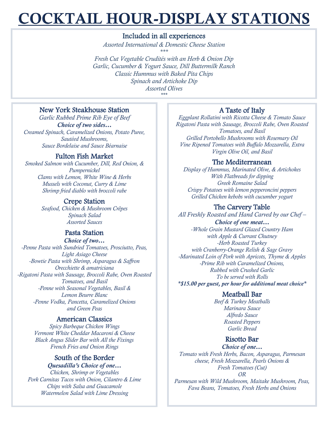# **COCKTAIL HOUR-DISPLAY STATIONS**

#### Included in all experiences

*Assorted International & Domestic Cheese Station \*\*\* Fresh Cut Vegetable Crudités with an Herb & Onion Dip Garlic, Cucumber & Yogurt Sauce, Dill Buttermilk Ranch Classic Hummus with Baked Pita Chips Spinach and Artichoke Dip Assorted Olives \*\*\**

#### New York Steakhouse Station

*Garlic Rubbed Prime Rib Eye of Beef Choice of two sides… Creamed Spinach, Caramelized Onions, Potato Puree, Sautéed Mushrooms, Sauce Bordelaise and Sauce Béarnaise*

#### Fulton Fish Market

*Smoked Salmon with Cucumber, Dill, Red Onion, & Pumpernickel Clams with Lemon, White Wine & Herbs Mussels with Coconut, Curry & Lime Shrimp fried diablo with broccoli rabe*

#### Crepe Station

*Seafood, Chicken & Mushroom Crêpes Spinach Salad Assorted Sauces*

#### Pasta Station

*Choice of two… -Penne Pasta with Sundried Tomatoes, Prosciutto, Peas, Light Asiago Cheese -Bowtie Pasta with Shrimp, Asparagus & Saffron Orecchiette & amatriciana -Rigatoni Pasta with Sausage, Broccoli Rabe, Oven Roasted Tomatoes, and Basil -Penne with Seasonal Vegetables, Basil & Lemon Beurre Blanc -Penne Vodka, Pancetta, Caramelized Onions and Green Peas*

#### American Classics

*Spicy Barbeque Chicken Wings Vermont White Cheddar Macaroni & Cheese Black Angus Slider Bar with All the Fixings French Fries and Onion Rings*

#### South of the Border

#### *Quesadilla's Choice of one…*

*Chicken, Shrimp or Vegetables Pork Carnitas Tacos with Onion, Cilantro & Lime Chips with Salsa and Guacamole Watermelon Salad with Lime Dressing*

#### A Taste of Italy

*Eggplant Rollatini with Ricotta Cheese & Tomato Sauce Rigatoni Pasta with Sausage, Broccoli Rabe, Oven Roasted Tomatoes, and Basil Grilled Portobello Mushrooms with Rosemary Oil Vine Ripened Tomatoes with Buffalo Mozzarella, Extra Virgin Olive Oil, and Basil*

#### The Mediterranean

*Display of Hummus, Marinated Olive, & Artichokes With Flatbreads for dipping Greek Romaine Salad Crispy Potatoes with lemon pepperoncini peppers Grilled Chicken kebobs with cucumber yogurt*

#### The Carvery Table

*All Freshly Roasted and Hand Carved by our Chef – Choice of one meat… -Whole Grain Mustard Glazed Country Ham with Apple & Currant Chutney -Herb Roasted Turkey with Cranberry-Orange Relish & Sage Gravy -Marinated Loin of Pork with Apricots, Thyme & Apples -Prime Rib with Caramelized Onions, Rubbed with Crushed Garlic To be served with Rolls*

*\*\$15.00 per guest, per hour for additional meat choice\**

#### Meatball Bar

*Beef & Turkey Meatballs Marinara Sauce Alfredo Sauce Roasted Peppers Garlic Bread*

#### Risotto Bar

*Choice of one… Tomato with Fresh Herbs, Bacon, Asparagus, Parmesan cheese, Fresh Mozzarella, Pearls Onions & Fresh Tomatoes (Cut) OR*

*Parmesan with Wild Mushroom, Maitake Mushroom, Peas, Fava Beans, Tomatoes, Fresh Herbs and Onions*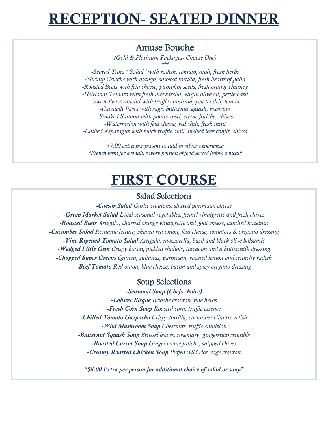## **ECEPTION- SEATED DINNI**

### Amuse Bouche

*(Gold & Platinum Packages- Choose One) \*\*\**

*-Seared Tuna "Salad" with radish, tomato, aioli, fresh herbs -Shrimp Ceviche with mango, smoked tortilla, fresh hearts of palm -Roasted Beets with feta cheese, pumpkin seeds, fresh orange chutney -Heirloom Tomato with fresh mozzarella, virgin olive oil, petite basil -Sweet Pea Arancini with truffle emulsion, pea tendril, lemon -Cavatelli Pasta with sage, butternut squash, pecorino -Smoked Salmon with potato rosti, crème fraiche, chives -Watermelon with feta cheese, red chili, fresh mint -Chilled Asparagus with black truffle aioli, melted leek confit, chives*

*\$7.00 extra per person to add to silver experience \*French term for a small, savory portion of food served before a meal\**

## **FIRST COURSE**

#### Salad Selections

*-Caesar Salad Garlic croutons, shaved parmesan cheese -Green Market Salad Local seasonal vegetables, fennel vinaigrette and fresh chives -Roasted Beets Arugula, charred orange vinaigrette and goat cheese, candied hazelnut -Cucumber Salad Romaine lettuce, shaved red onion, feta cheese, tomatoes & oregano dressing -Vine Ripened Tomato Salad Arugula, mozzarella, basil and black olive balsamic -Wedged Little Gem Crispy bacon, pickled shallots, tarragon and a buttermilk dressing -Chopped Super Greens Quinoa, sultanas, parmesan, roasted lemon and crunchy radish -Beef Tomato Red onion, blue cheese, bacon and spicy oregano dressing*

#### Soup Selections

*-Seasonal Soup (Chefs choice) -Lobster Bisque Brioche crouton, fine herbs -Fresh Corn Soup Roasted corn, truffle essence -Chilled Tomato Gazpacho Crispy tortilla, cucumber-cilantro relish -Wild Mushroom Soup Chestnuts, truffle emulsion -Butternut Squash Soup Brussel leaves, rosemary, gingersnap crumble -Roasted Carrot Soup Ginger crème fraiche, snipped chives -Creamy Roasted Chicken Soup Puffed wild rice, sage crouton*

*\*\$8.00 Extra per person for additional choice of salad or soup\**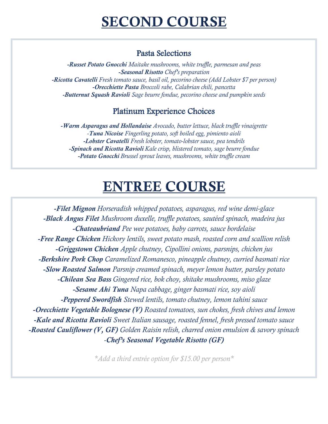## Pasta Selections

*-Russet Potato Gnocchi Maitake mushrooms, white truffle, parmesan and peas -Seasonal Risotto Chef's preparation -Ricotta Cavatelli Fresh tomato sauce, basil oil, pecorino cheese (Add Lobster \$7 per person) -Orecchiette Pasta Broccoli rabe, Calabrian chili, pancetta -Butternut Squash Ravioli Sage beurre fondue, pecorino cheese and pumpkin seeds*

## Platinum Experience Choices

*-Warm Asparagus and Hollandaise Avocado, butter lettuce, black truffle vinaigrette -Tuna Nicoise Fingerling potato, soft boiled egg, pimiento aioli -Lobster Cavatelli Fresh lobster, tomato-lobster sauce, pea tendrils -Spinach and Ricotta Ravioli Kale crisp, blistered tomato, sage beurre fondue -Potato Gnocchi Brussel sprout leaves, mushrooms, white truffle cream*

# **ENTREE COURSE**

*-Filet Mignon Horseradish whipped potatoes, asparagus, red wine demi-glace -Black Angus Filet Mushroom duxelle, truffle potatoes, sautéed spinach, madeira jus -Chateaubriand Pee wee potatoes, baby carrots, sauce bordelaise -Free Range Chicken Hickory lentils, sweet potato mash, roasted corn and scallion relish -Griggstown Chicken Apple chutney, Cipollini onions, parsnips, chicken jus -Berkshire Pork Chop Caramelized Romanesco, pineapple chutney, curried basmati rice -Slow Roasted Salmon Parsnip creamed spinach, meyer lemon butter, parsley potato -Chilean Sea Bass Gingered rice, bok choy, shitake mushrooms, miso glaze -Sesame Ahi Tuna Napa cabbage, ginger basmati rice, soy aioli -Peppered Swordfish Stewed lentils, tomato chutney, lemon tahini sauce -Orecchiette Vegetable Bolognese (V) Roasted tomatoes, sun chokes, fresh chives and lemon -Kale and Ricotta Ravioli Sweet Italian sausage, roasted fennel, fresh pressed tomato sauce -Roasted Cauliflower (V, GF) Golden Raisin relish, charred onion emulsion & savory spinach -Chef's Seasonal Vegetable Risotto (GF)*

*\*Add a third entrée option for \$15.00 per person\**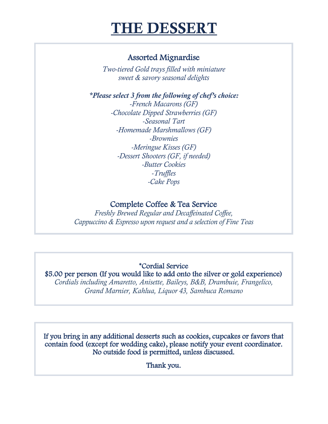# **THE DESSERT**

## Assorted Mignardise

*Two-tiered Gold trays filled with miniature sweet & savory seasonal delights*

*\*Please select 3 from the following of chef's choice: -French Macarons (GF) -Chocolate Dipped Strawberries (GF) -Seasonal Tart -Homemade Marshmallows (GF) -Brownies -Meringue Kisses (GF) -Dessert Shooters (GF, if needed) -Butter Cookies -Truffles -Cake Pops*

### Complete Coffee & Tea Service

*Freshly Brewed Regular and Decaffeinated Coffee, Cappuccino & Espresso upon request and a selection of Fine Teas* Ì,

## \*Cordial Service

## \$5.00 per person (If you would like to add onto the silver or gold experience)

*Cordials including Amaretto, Anisette, Baileys, B&B, Drambuie, Frangelico, Grand Marnier, Kahlua, Liquor 43, Sambuca Romano* J

If you bring in any additional desserts such as cookies, cupcakes or favors that contain food (except for wedding cake), please notify your event coordinator. No outside food is permitted, unless discussed.

Thank you.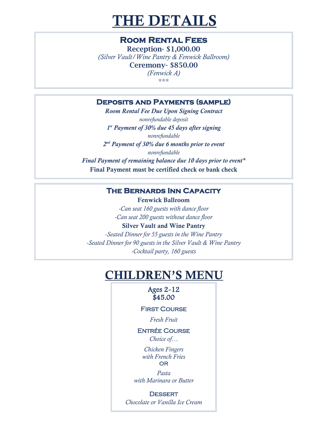# **THE DETAILS**

### **Room Rental Fees**

Reception- \$1,000.00 *(Silver Vault/Wine Pantry & Fenwick Ballroom)* Ceremony- \$850.00 *(Fenwick A)* \*\*\*

#### **Deposits and Payments (sample)**

 *Room Rental Fee Due Upon Signing Contract nonrefundable deposit 1 st Payment of 30% due 45 days after signing nonrefundable 2 nd Payment of 30% due 6 months prior to event nonrefundable Final Payment of remaining balance due 10 days prior to event\** Final Payment must be certified check or bank check

#### **The Bernards Inn Capacity**

 Fenwick Ballroom *-Can seat 160 guests with dance floor -Can seat 200 guests without dance floor* Silver Vault and Wine Pantry *-Seated Dinner for 55 guests in the Wine Pantry*

*-Seated Dinner for 90 guests in the Silver Vault & Wine Pantry -Cocktail party, 160 guests*

## **CHILDREN'S MENU**

#### Ages 2-12 \$45.00

#### **FIRST COURSE**

*Fresh Fruit*

## Entrée Course

*Choice of…*

*Chicken Fingers with French Fries* OR

*Pasta with Marinara or Butter*

**DESSERT** *Chocolate or Vanilla Ice Cream*